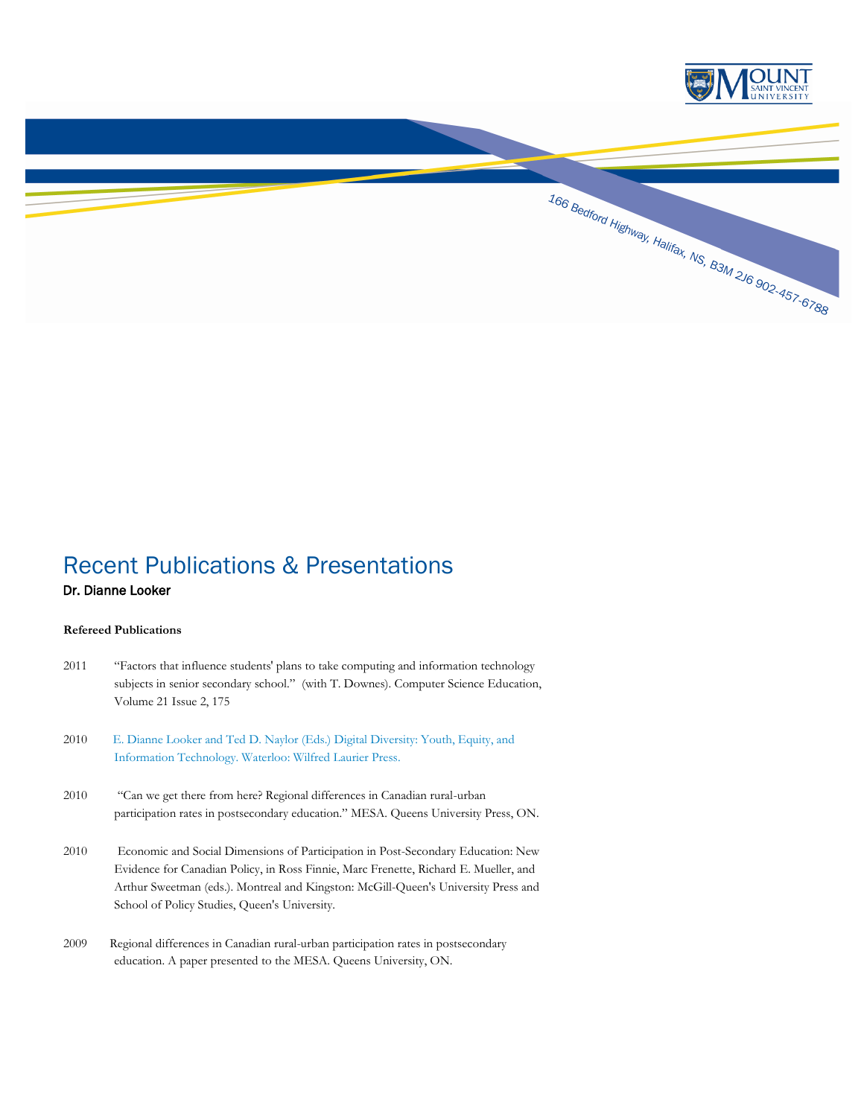

# Recent Publications & Presentations

## Dr. Dianne Looker

#### **Refereed Publications**

- 2011 "Factors that influence students' plans to take computing and information technology subjects in senior secondary school." (with T. Downes). Computer Science Education, Volume 21 Issue 2, 175
- 2010 E. [Dianne Looker and Ted D. Naylor \(Eds.\) Digital Diversity: Youth, Equity, and](http://www.msvu.ca/site/media/msvu/looker-announcement.pdf)  Information [Technology. Waterloo: Wilfred Laurier Press.](http://www.msvu.ca/site/media/msvu/looker-announcement.pdf)
- 2010 "Can we get there from here? Regional differences in Canadian rural-urban participation rates in postsecondary education." MESA. Queens University Press, ON.
- 2010 Economic and Social Dimensions of Participation in Post-Secondary Education: New Evidence for Canadian Policy, in Ross Finnie, Marc Frenette, Richard E. Mueller, and Arthur Sweetman (eds.). Montreal and Kingston: McGill-Queen's University Press and School of Policy Studies, Queen's University.
- 2009 Regional differences in Canadian rural-urban participation rates in postsecondary education. A paper presented to the MESA. Queens University, ON.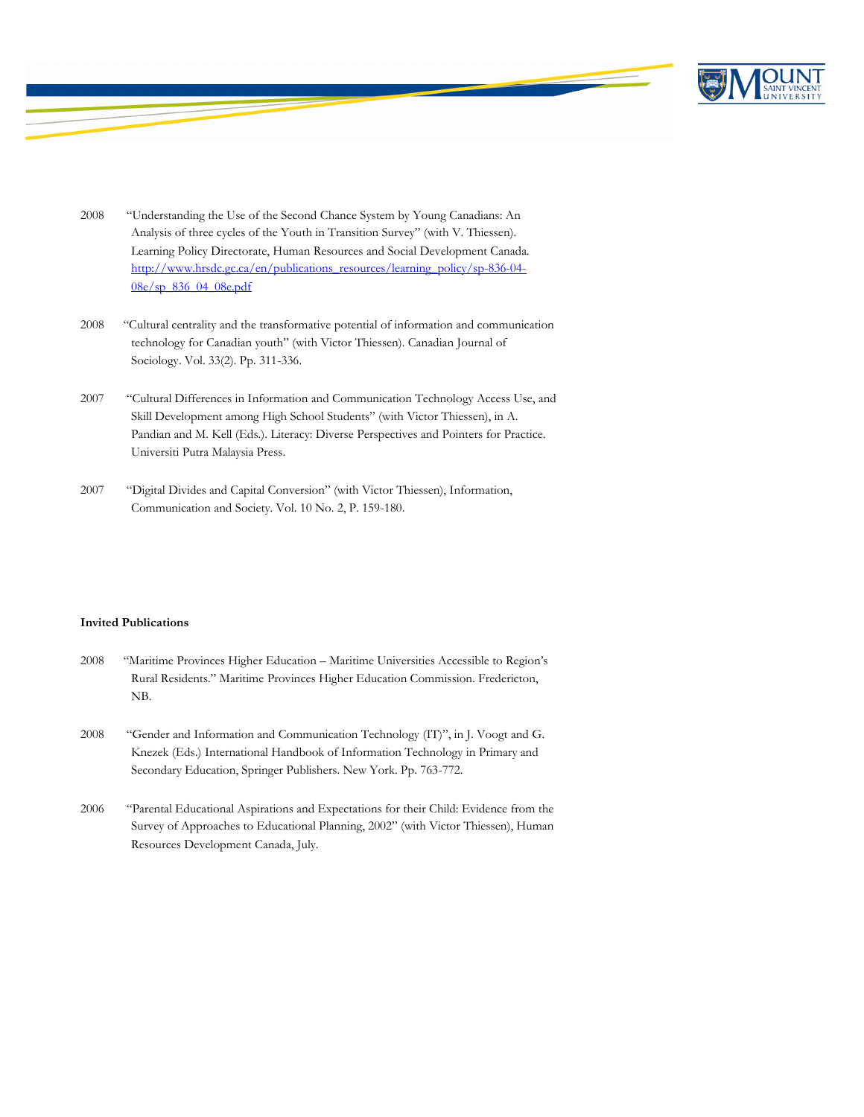

- 2008 "Understanding the Use of the Second Chance System by Young Canadians: An Analysis of three cycles of the Youth in Transition Survey" (with V. Thiessen). Learning Policy Directorate, Human Resources and Social Development Canada. [http://www.hrsdc.gc.ca/en/publications\\_resources/learning\\_policy/sp-836-04-](http://www.hrsdc.gc.ca/en/publications_resources/learning_policy/sp-836-04-08e/sp_836_04_08e.pdf) [08e/sp\\_836\\_04\\_08e.pdf](http://www.hrsdc.gc.ca/en/publications_resources/learning_policy/sp-836-04-08e/sp_836_04_08e.pdf)
- 2008 "Cultural centrality and the transformative potential of information and communication technology for Canadian youth" (with Victor Thiessen). Canadian Journal of Sociology. Vol. 33(2). Pp. 311-336.
- 2007 "Cultural Differences in Information and Communication Technology Access Use, and Skill Development among High School Students" (with Victor Thiessen), in A. Pandian and M. Kell (Eds.). Literacy: Diverse Perspectives and Pointers for Practice. Universiti Putra Malaysia Press.
- 2007 "Digital Divides and Capital Conversion" (with Victor Thiessen), Information, Communication and Society. Vol. 10 No. 2, P. 159-180.

#### **Invited Publications**

- 2008 "Maritime Provinces Higher Education Maritime Universities Accessible to Region's Rural Residents." Maritime Provinces Higher Education Commission. Fredericton, NB.
- 2008 "Gender and Information and Communication Technology (IT)", in J. Voogt and G. Knezek (Eds.) International Handbook of Information Technology in Primary and Secondary Education, Springer Publishers. New York. Pp. 763-772.
- 2006 "Parental Educational Aspirations and Expectations for their Child: Evidence from the Survey of Approaches to Educational Planning, 2002" (with Victor Thiessen), Human Resources Development Canada, July.